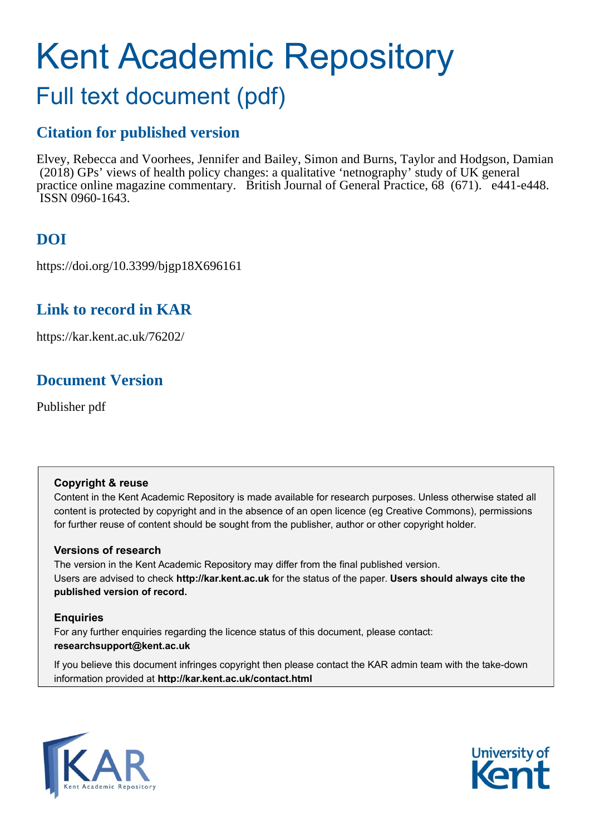# Kent Academic Repository Full text document (pdf)

# **Citation for published version**

Elvey, Rebecca and Voorhees, Jennifer and Bailey, Simon and Burns, Taylor and Hodgson, Damian (2018) GPs' views of health policy changes: a qualitative 'netnography' study of UK general practice online magazine commentary. British Journal of General Practice, 68 (671). e441-e448. ISSN 0960-1643.

# **DOI**

https://doi.org/10.3399/bjgp18X696161

# **Link to record in KAR**

https://kar.kent.ac.uk/76202/

# **Document Version**

Publisher pdf

### **Copyright & reuse**

Content in the Kent Academic Repository is made available for research purposes. Unless otherwise stated all content is protected by copyright and in the absence of an open licence (eg Creative Commons), permissions for further reuse of content should be sought from the publisher, author or other copyright holder.

### **Versions of research**

The version in the Kent Academic Repository may differ from the final published version. Users are advised to check **http://kar.kent.ac.uk** for the status of the paper. **Users should always cite the published version of record.**

### **Enquiries**

For any further enquiries regarding the licence status of this document, please contact: **researchsupport@kent.ac.uk**

If you believe this document infringes copyright then please contact the KAR admin team with the take-down information provided at **http://kar.kent.ac.uk/contact.html**



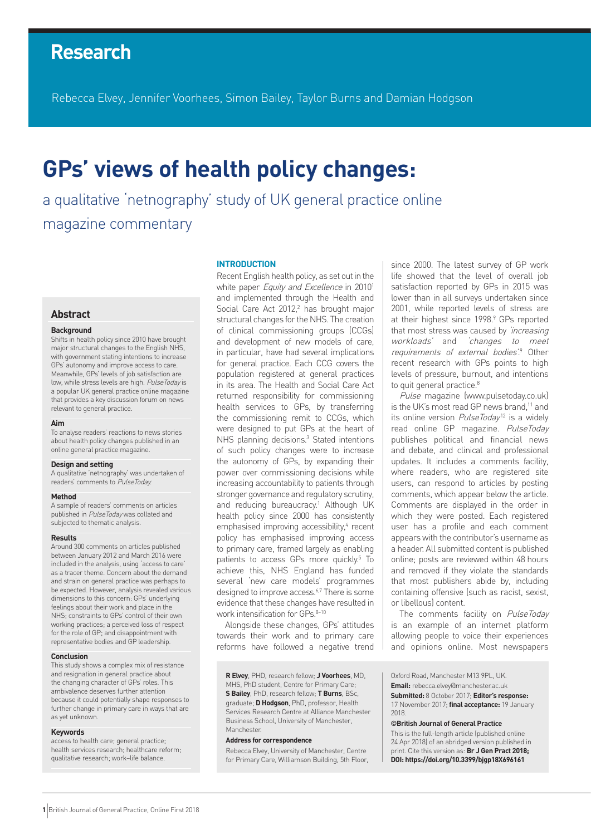# **Research**

Rebecca Elvey, Jennifer Voorhees, Simon Bailey, Taylor Burns and Damian Hodgson

# **GPs' views of health policy changes:**

a qualitative 'netnography' study of UK general practice online magazine commentary

#### **Abstract**

#### **Background**

Shifts in health policy since 2010 have brought major structural changes to the English NHS, with government stating intentions to increase GPs' autonomy and improve access to care. Meanwhile, GPs' levels of job satisfaction are low, while stress levels are high. PulseToday is a popular UK general practice online magazine that provides a key discussion forum on news relevant to general practice.

#### **Aim**

To analyse readers' reactions to news stories about health policy changes published in an online general practice magazine.

#### **Design and setting**

A qualitative 'netnography' was undertaken of readers' comments to PulseToday.

#### **Method**

A sample of readers' comments on articles published in PulseToday was collated and subjected to thematic analysis.

#### **Results**

Around 300 comments on articles published between January 2012 and March 2016 were included in the analysis, using 'access to care' as a tracer theme. Concern about the demand and strain on general practice was perhaps to be expected. However, analysis revealed various dimensions to this concern: GPs' underlying feelings about their work and place in the NHS; constraints to GPs' control of their own working practices; a perceived loss of respect for the role of GP; and disappointment with representative bodies and GP leadership.

#### **Conclusion**

This study shows a complex mix of resistance and resignation in general practice about the changing character of GPs' roles. This ambivalence deserves further attention because it could potentially shape responses to further change in primary care in ways that are as yet unknown.

#### **Keywords**

access to health care; general practice; health services research; healthcare reform; qualitative research; work–life balance.

#### **INTRODUCTION**

Recent English health policy, as set out in the white paper Equity and Excellence in 2010<sup>1</sup> and implemented through the Health and Social Care Act  $2012$ ,<sup>2</sup> has brought major structural changes for the NHS. The creation of clinical commissioning groups (CCGs) and development of new models of care, in particular, have had several implications for general practice. Each CCG covers the population registered at general practices in its area. The Health and Social Care Act returned responsibility for commissioning health services to GPs, by transferring the commissioning remit to CCGs, which were designed to put GPs at the heart of NHS planning decisions.<sup>3</sup> Stated intentions of such policy changes were to increase the autonomy of GPs, by expanding their power over commissioning decisions while increasing accountability to patients through stronger governance and regulatory scrutiny, and reducing bureaucracy.<sup>1</sup> Although UK health policy since 2000 has consistently emphasised improving accessibility,<sup>4</sup> recent policy has emphasised improving access to primary care, framed largely as enabling patients to access GPs more quickly.<sup>5</sup> To achieve this, NHS England has funded several 'new care models' programmes designed to improve access.<sup>6,7</sup> There is some evidence that these changes have resulted in work intensification for GPs. 8-10

Alongside these changes, GPs' attitudes towards their work and to primary care reforms have followed a negative trend

**R Elvey**, PHD, research fellow; **J Voorhees**, MD, MHS, PhD student, Centre for Primary Care; **S Bailey**, PhD, research fellow; **T Burns**, BSc, graduate; **D Hodgson**, PhD, professor, Health Services Research Centre at Alliance Manchester Business School, University of Manchester, Manchester.

#### **Address for correspondence**

Rebecca Elvey, University of Manchester, Centre for Primary Care, Williamson Building, 5th Floor, since 2000. The latest survey of GP work life showed that the level of overall job satisfaction reported by GPs in 2015 was lower than in all surveys undertaken since 2001, while reported levels of stress are at their highest since 1998.9 GPs reported that most stress was caused by *increasing* workloads' and 'changes to meet requirements of external bodies<sup>'</sup>. Other recent research with GPs points to high levels of pressure, burnout, and intentions to quit general practice.<sup>8</sup>

Pulse magazine (www.pulsetoday.co.uk) is the UK's most read GP news brand,<sup>11</sup> and its online version PulseToday<sup>12</sup> is a widely read online GP magazine. PulseToday publishes political and financial news and debate, and clinical and professional updates. It includes a comments facility, where readers, who are registered site users, can respond to articles by posting comments, which appear below the article. Comments are displayed in the order in which they were posted. Each registered user has a profile and each comment appears with the contributor's username as a header. All submitted content is published online; posts are reviewed within 48 hours and removed if they violate the standards that most publishers abide by, including containing offensive (such as racist, sexist, or libellous) content.

The comments facility on PulseToday is an example of an internet platform allowing people to voice their experiences and opinions online. Most newspapers

Oxford Road, Manchester M13 9PL, UK. **Email:** rebecca.elvey@manchester.ac.uk **Submitted:** 8 October 2017; **Editor's response:**  17 November 2017; **final acceptance:** 19 January 2018.

#### **©British Journal of General Practice**

This is the full-length article (published online 24 Apr 2018) of an abridged version published in print. Cite this version as: **Br J Gen Pract 2018; DOI: https://doi.org/10.3399/bjgp18X696161**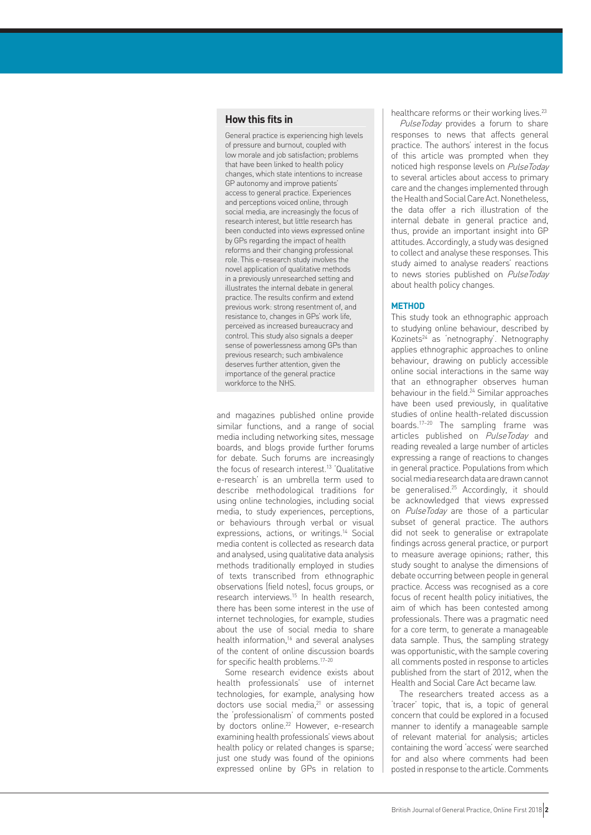### **How this fits in**

General practice is experiencing high levels of pressure and burnout, coupled with low morale and job satisfaction; problems that have been linked to health policy changes, which state intentions to increase GP autonomy and improve patients' access to general practice. Experiences and perceptions voiced online, through social media, are increasingly the focus of research interest, but little research has been conducted into views expressed online by GPs regarding the impact of health reforms and their changing professional role. This e-research study involves the novel application of qualitative methods in a previously unresearched setting and illustrates the internal debate in general practice. The results confirm and extend previous work: strong resentment of, and resistance to, changes in GPs' work life, perceived as increased bureaucracy and control. This study also signals a deeper sense of powerlessness among GPs than previous research; such ambivalence deserves further attention, given the importance of the general practice workforce to the NHS.

and magazines published online provide similar functions, and a range of social media including networking sites, message boards, and blogs provide further forums for debate. Such forums are increasingly the focus of research interest.13 'Qualitative e-research' is an umbrella term used to describe methodological traditions for using online technologies, including social media, to study experiences, perceptions, or behaviours through verbal or visual expressions, actions, or writings.14 Social media content is collected as research data and analysed, using qualitative data analysis methods traditionally employed in studies of texts transcribed from ethnographic observations (field notes), focus groups, or research interviews.15 In health research, there has been some interest in the use of internet technologies, for example, studies about the use of social media to share health information.<sup>16</sup> and several analyses of the content of online discussion boards for specific health problems.17–20

Some research evidence exists about health professionals' use of internet technologies, for example, analysing how doctors use social media,<sup>21</sup> or assessing the 'professionalism' of comments posted by doctors online.<sup>22</sup> However, e-research examining health professionals' views about health policy or related changes is sparse; just one study was found of the opinions expressed online by GPs in relation to

healthcare reforms or their working lives.<sup>23</sup>

PulseToday provides a forum to share responses to news that affects general practice. The authors' interest in the focus of this article was prompted when they noticed high response levels on PulseToday to several articles about access to primary care and the changes implemented through the Health and Social Care Act. Nonetheless, the data offer a rich illustration of the internal debate in general practice and, thus, provide an important insight into GP attitudes. Accordingly, a study was designed to collect and analyse these responses. This study aimed to analyse readers' reactions to news stories published on PulseToday about health policy changes.

#### **METHOD**

This study took an ethnographic approach to studying online behaviour, described by Kozinets24 as 'netnography'. Netnography applies ethnographic approaches to online behaviour, drawing on publicly accessible online social interactions in the same way that an ethnographer observes human behaviour in the field.<sup>24</sup> Similar approaches have been used previously, in qualitative studies of online health-related discussion boards.17–20 The sampling frame was articles published on PulseToday and reading revealed a large number of articles expressing a range of reactions to changes in general practice. Populations from which social media research data are drawn cannot be generalised.<sup>25</sup> Accordingly, it should be acknowledged that views expressed on PulseToday are those of a particular subset of general practice. The authors did not seek to generalise or extrapolate findings across general practice, or purport to measure average opinions; rather, this study sought to analyse the dimensions of debate occurring between people in general practice. Access was recognised as a core focus of recent health policy initiatives, the aim of which has been contested among professionals. There was a pragmatic need for a core term, to generate a manageable data sample. Thus, the sampling strategy was opportunistic, with the sample covering all comments posted in response to articles published from the start of 2012, when the Health and Social Care Act became law.

The researchers treated access as a 'tracer' topic, that is, a topic of general concern that could be explored in a focused manner to identify a manageable sample of relevant material for analysis; articles containing the word 'access' were searched for and also where comments had been posted in response to the article. Comments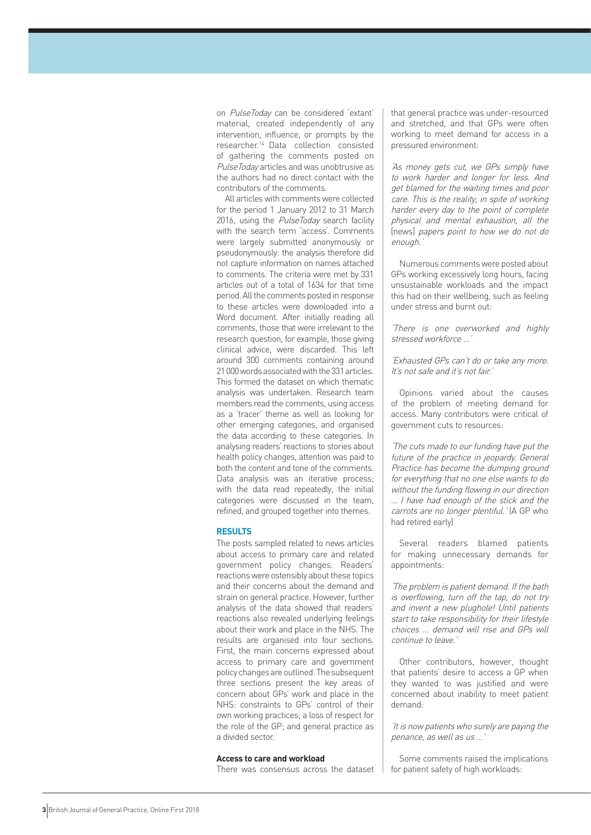on PulseToday can be considered 'extant' material, created independently of any intervention, influence, or prompts by the researcher.14 Data collection consisted of gathering the comments posted on PulseToday articles and was unobtrusive as the authors had no direct contact with the contributors of the comments.

All articles with comments were collected for the period 1 January 2012 to 31 March 2016, using the PulseToday search facility with the search term 'access'. Comments were largely submitted anonymously or pseudonymously: the analysis therefore did not capture information on names attached to comments. The criteria were met by 331 articles out of a total of 1634 for that time period. All the comments posted in response to these articles were downloaded into a Word document. After initially reading all comments, those that were irrelevant to the research question, for example, those giving clinical advice, were discarded. This left around 300 comments containing around 21000 words associated with the 331 articles. This formed the dataset on which thematic analysis was undertaken. Research team members read the comments, using access as a 'tracer' theme as well as looking for other emerging categories, and organised the data according to these categories. In analysing readers' reactions to stories about health policy changes, attention was paid to both the content and tone of the comments. Data analysis was an iterative process; with the data read repeatedly, the initial categories were discussed in the team, refined, and grouped together into themes.

#### **RESULTS**

The posts sampled related to news articles about access to primary care and related government policy changes. Readers' reactions were ostensibly about these topics and their concerns about the demand and strain on general practice. However, further analysis of the data showed that readers' reactions also revealed underlying feelings about their work and place in the NHS. The results are organised into four sections. First, the main concerns expressed about access to primary care and government policy changes are outlined. The subsequent three sections present the key areas of concern about GPs' work and place in the NHS: constraints to GPs' control of their own working practices; a loss of respect for the role of the GP; and general practice as a divided sector.

#### **Access to care and workload**

There was consensus across the dataset

that general practice was under-resourced and stretched, and that GPs were often working to meet demand for access in a pressured environment:

'As money gets cut, we GPs simply have to work harder and longer for less. And get blamed for the waiting times and poor care. This is the reality, in spite of working harder every day to the point of complete physical and mental exhaustion, all the [news] papers point to how we do not do enough.'

Numerous comments were posted about GPs working excessively long hours, facing unsustainable workloads and the impact this had on their wellbeing, such as feeling under stress and burnt out:

'There is one overworked and highly stressed workforce …'

'Exhausted GPs can't do or take any more. It's not safe and it's not fair.'

Opinions varied about the causes of the problem of meeting demand for access. Many contributors were critical of government cuts to resources:

'The cuts made to our funding have put the future of the practice in jeopardy. General Practice has become the dumping ground for everything that no one else wants to do without the funding flowing in our direction … I have had enough of the stick and the carrots are no longer plentiful.' (A GP who had retired early)

Several readers blamed patients for making unnecessary demands for appointments:

'The problem is patient demand. If the bath is overflowing, turn off the tap, do not try and invent a new plughole! Until patients start to take responsibility for their lifestyle choices … demand will rise and GPs will continue to leave.'

Other contributors, however, thought that patients' desire to access a GP when they wanted to was justified and were concerned about inability to meet patient demand:

'It is now patients who surely are paying the penance, as well as us …'

Some comments raised the implications for patient safety of high workloads: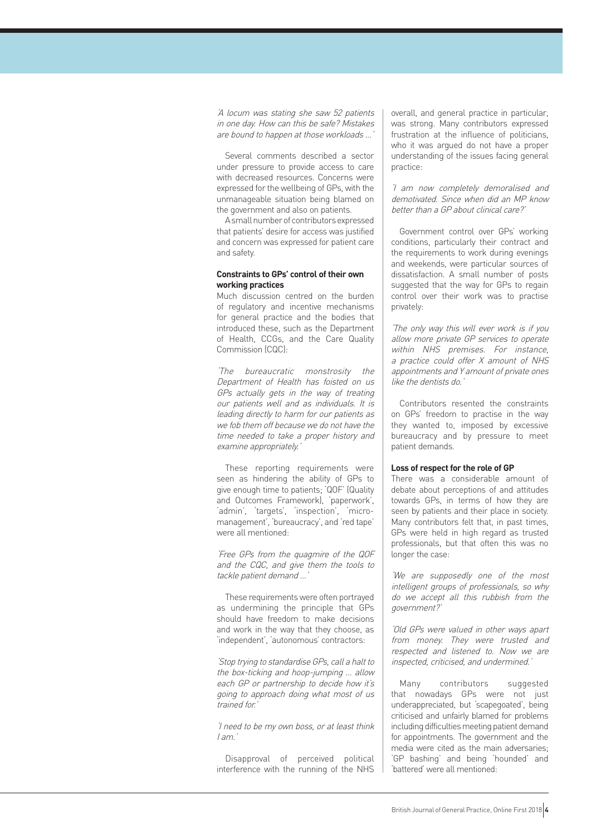'A locum was stating she saw 52 patients in one day. How can this be safe? Mistakes are bound to happen at those workloads …'

Several comments described a sector under pressure to provide access to care with decreased resources. Concerns were expressed for the wellbeing of GPs, with the unmanageable situation being blamed on the government and also on patients.

A small number of contributors expressed that patients' desire for access was justified and concern was expressed for patient care and safety.

#### **Constraints to GPs' control of their own working practices**

Much discussion centred on the burden of regulatory and incentive mechanisms for general practice and the bodies that introduced these, such as the Department of Health, CCGs, and the Care Quality Commission (CQC):

'The bureaucratic monstrosity the Department of Health has foisted on us GPs actually gets in the way of treating our patients well and as individuals. It is leading directly to harm for our patients as we fob them off because we do not have the time needed to take a proper history and examine appropriately.'

These reporting requirements were seen as hindering the ability of GPs to give enough time to patients; 'QOF' (Quality and Outcomes Framework), 'paperwork', 'admin', 'targets', 'inspection', 'micromanagement', 'bureaucracy', and 'red tape' were all mentioned:

'Free GPs from the quagmire of the QOF and the CQC, and give them the tools to tackle patient demand ...

These requirements were often portrayed as undermining the principle that GPs should have freedom to make decisions and work in the way that they choose, as 'independent', 'autonomous' contractors:

'Stop trying to standardise GPs, call a halt to the box-ticking and hoop-jumping … allow each GP or partnership to decide how it's going to approach doing what most of us trained for.'

'I need to be my own boss, or at least think I am.'

Disapproval of perceived political interference with the running of the NHS overall, and general practice in particular, was strong. Many contributors expressed frustration at the influence of politicians, who it was argued do not have a proper understanding of the issues facing general practice:

'I am now completely demoralised and demotivated. Since when did an MP know better than a GP about clinical care?'

Government control over GPs' working conditions, particularly their contract and the requirements to work during evenings and weekends, were particular sources of dissatisfaction. A small number of posts suggested that the way for GPs to regain control over their work was to practise privately:

'The only way this will ever work is if you allow more private GP services to operate within NHS premises. For instance, a practice could offer X amount of NHS appointments and Y amount of private ones like the dentists do.'

Contributors resented the constraints on GPs' freedom to practise in the way they wanted to, imposed by excessive bureaucracy and by pressure to meet patient demands.

#### **Loss of respect for the role of GP**

There was a considerable amount of debate about perceptions of and attitudes towards GPs, in terms of how they are seen by patients and their place in society. Many contributors felt that, in past times, GPs were held in high regard as trusted professionals, but that often this was no longer the case:

'We are supposedly one of the most intelligent groups of professionals, so why do we accept all this rubbish from the government?'

'Old GPs were valued in other ways apart from money. They were trusted and respected and listened to. Now we are inspected, criticised, and undermined.'

Many contributors suggested that nowadays GPs were not just underappreciated, but 'scapegoated', being criticised and unfairly blamed for problems including difficulties meeting patient demand for appointments. The government and the media were cited as the main adversaries; 'GP bashing' and being 'hounded' and 'battered' were all mentioned: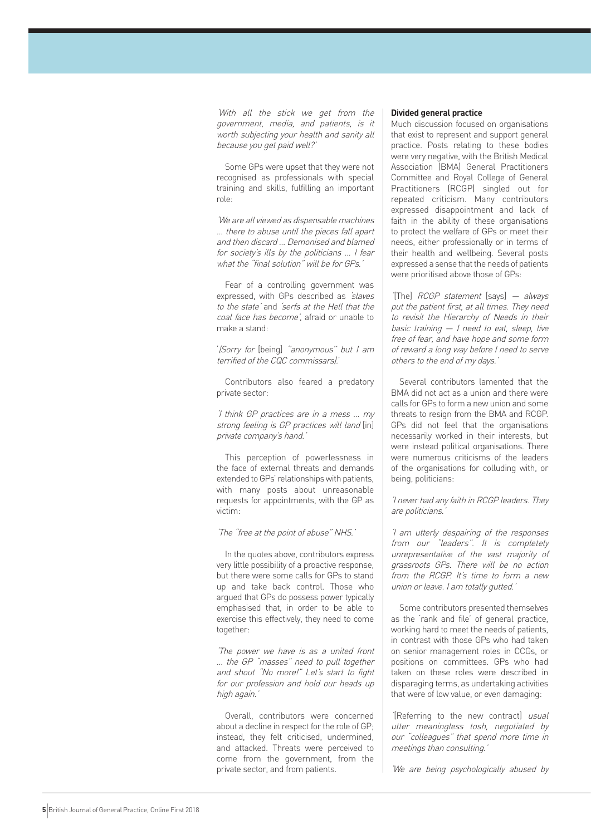'With all the stick we get from the government, media, and patients, is it worth subjecting your health and sanity all because you get paid well?'

Some GPs were upset that they were not recognised as professionals with special training and skills, fulfilling an important role:

'We are all viewed as dispensable machines … there to abuse until the pieces fall apart and then discard … Demonised and blamed for society's ills by the politicians … I fear what the "final solution" will be for GPs.

Fear of a controlling government was expressed, with GPs described as *'slaves* to the state' and 'serfs at the Hell that the coal face has become', afraid or unable to make a stand:

'(Sorry for [being] ''anonymous'' but I am terrified of the CQC commissars).'

Contributors also feared a predatory private sector:

'I think GP practices are in a mess … my strong feeling is GP practices will land [in] private company's hand.'

This perception of powerlessness in the face of external threats and demands extended to GPs' relationships with patients, with many posts about unreasonable requests for appointments, with the GP as victim:

#### 'The "free at the point of abuse" NHS.'

In the quotes above, contributors express very little possibility of a proactive response, but there were some calls for GPs to stand up and take back control. Those who argued that GPs do possess power typically emphasised that, in order to be able to exercise this effectively, they need to come together:

'The power we have is as a united front … the GP "masses" need to pull together and shout "No more!" Let's start to fight for our profession and hold our heads up high again.'

Overall, contributors were concerned about a decline in respect for the role of GP; instead, they felt criticised, undermined, and attacked. Threats were perceived to come from the government, from the private sector, and from patients.

#### **Divided general practice**

Much discussion focused on organisations that exist to represent and support general practice. Posts relating to these bodies were very negative, with the British Medical Association (BMA) General Practitioners Committee and Royal College of General Practitioners (RCGP) singled out for repeated criticism. Many contributors expressed disappointment and lack of faith in the ability of these organisations to protect the welfare of GPs or meet their needs, either professionally or in terms of their health and wellbeing. Several posts expressed a sense that the needs of patients were prioritised above those of GPs:

'[The] RCGP statement [says] — always put the patient first, at all times. They need to revisit the Hierarchy of Needs in their basic training  $-1$  need to eat, sleep, live free of fear, and have hope and some form of reward a long way before I need to serve others to the end of my days.'

Several contributors lamented that the BMA did not act as a union and there were calls for GPs to form a new union and some threats to resign from the BMA and RCGP. GPs did not feel that the organisations necessarily worked in their interests, but were instead political organisations. There were numerous criticisms of the leaders of the organisations for colluding with, or being, politicians:

'I never had any faith in RCGP leaders. They are politicians.'

'I am utterly despairing of the responses from our "leaders". It is completely unrepresentative of the vast majority of grassroots GPs. There will be no action from the RCGP. It's time to form a new union or leave. I am totally gutted.'

Some contributors presented themselves as the 'rank and file' of general practice, working hard to meet the needs of patients, in contrast with those GPs who had taken on senior management roles in CCGs, or positions on committees. GPs who had taken on these roles were described in disparaging terms, as undertaking activities that were of low value, or even damaging:

'[Referring to the new contract] usual utter meaningless tosh, negotiated by our "colleagues" that spend more time in meetings than consulting.'

'We are being psychologically abused by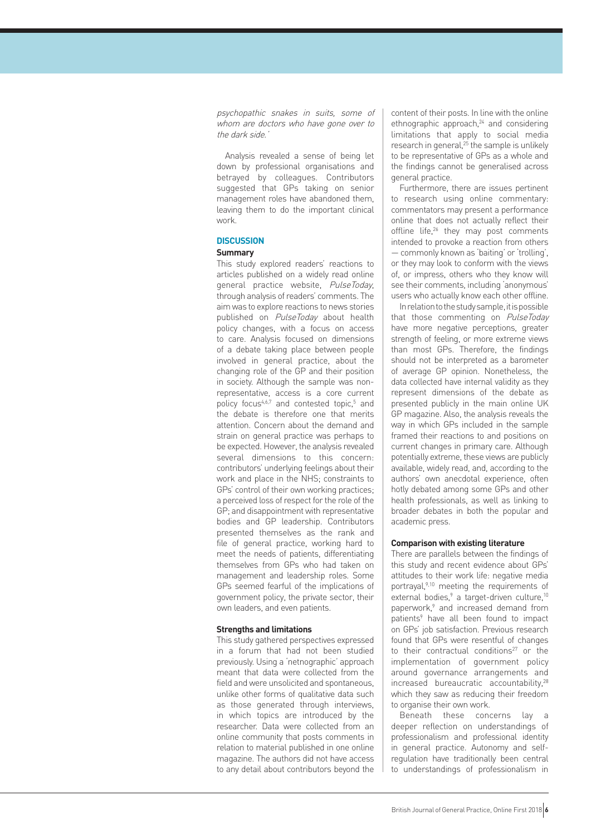psychopathic snakes in suits, some of whom are doctors who have gone over to the dark side.'

Analysis revealed a sense of being let down by professional organisations and betrayed by colleagues. Contributors suggested that GPs taking on senior management roles have abandoned them, leaving them to do the important clinical work.

#### **DISCUSSION**

#### **Summary**

This study explored readers' reactions to articles published on a widely read online general practice website, PulseToday, through analysis of readers' comments. The aim was to explore reactions to news stories published on PulseToday about health policy changes, with a focus on access to care. Analysis focused on dimensions of a debate taking place between people involved in general practice, about the changing role of the GP and their position in society. Although the sample was nonrepresentative, access is a core current policy focus<sup>4,6,7</sup> and contested topic,<sup>5</sup> and the debate is therefore one that merits attention. Concern about the demand and strain on general practice was perhaps to be expected. However, the analysis revealed several dimensions to this concern: contributors' underlying feelings about their work and place in the NHS; constraints to GPs' control of their own working practices; a perceived loss of respect for the role of the GP; and disappointment with representative bodies and GP leadership. Contributors presented themselves as the rank and file of general practice, working hard to meet the needs of patients, differentiating themselves from GPs who had taken on management and leadership roles. Some GPs seemed fearful of the implications of government policy, the private sector, their own leaders, and even patients.

#### **Strengths and limitations**

This study gathered perspectives expressed in a forum that had not been studied previously. Using a 'netnographic' approach meant that data were collected from the field and were unsolicited and spontaneous, unlike other forms of qualitative data such as those generated through interviews, in which topics are introduced by the researcher. Data were collected from an online community that posts comments in relation to material published in one online magazine. The authors did not have access to any detail about contributors beyond the content of their posts. In line with the online ethnographic approach,<sup>24</sup> and considering limitations that apply to social media research in general,<sup>25</sup> the sample is unlikely to be representative of GPs as a whole and the findings cannot be generalised across general practice.

Furthermore, there are issues pertinent to research using online commentary: commentators may present a performance online that does not actually reflect their offline life,<sup>26</sup> they may post comments intended to provoke a reaction from others — commonly known as 'baiting' or 'trolling', or they may look to conform with the views of, or impress, others who they know will see their comments, including 'anonymous' users who actually know each other offline.

In relation to the study sample, it is possible that those commenting on PulseToday have more negative perceptions, greater strength of feeling, or more extreme views than most GPs. Therefore, the findings should not be interpreted as a barometer of average GP opinion. Nonetheless, the data collected have internal validity as they represent dimensions of the debate as presented publicly in the main online UK GP magazine. Also, the analysis reveals the way in which GPs included in the sample framed their reactions to and positions on current changes in primary care. Although potentially extreme, these views are publicly available, widely read, and, according to the authors' own anecdotal experience, often hotly debated among some GPs and other health professionals, as well as linking to broader debates in both the popular and academic press.

#### **Comparison with existing literature**

There are parallels between the findings of this study and recent evidence about GPs' attitudes to their work life: negative media portrayal,<sup>9,10</sup> meeting the requirements of external bodies,<sup>9</sup> a target-driven culture,<sup>10</sup> paperwork,<sup>9</sup> and increased demand from patients<sup>9</sup> have all been found to impact on GPs' job satisfaction. Previous research found that GPs were resentful of changes to their contractual conditions<sup>27</sup> or the implementation of government policy around governance arrangements and increased bureaucratic accountability,28 which they saw as reducing their freedom to organise their own work.

Beneath these concerns lay a deeper reflection on understandings of professionalism and professional identity in general practice. Autonomy and selfregulation have traditionally been central to understandings of professionalism in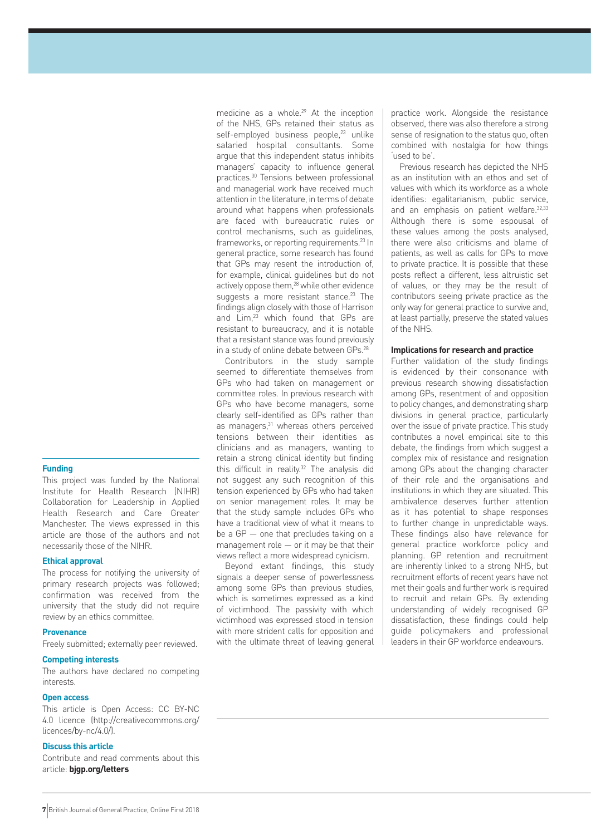#### **Funding**

This project was funded by the National Institute for Health Research (NIHR) Collaboration for Leadership in Applied Health Research and Care Greater Manchester. The views expressed in this article are those of the authors and not necessarily those of the NIHR.

#### **Ethical approval**

The process for notifying the university of primary research projects was followed; confirmation was received from the university that the study did not require review by an ethics committee.

#### **Provenance**

Freely submitted; externally peer reviewed.

#### **Competing interests**

The authors have declared no competing interests.

#### **Open access**

This article is Open Access: CC BY-NC 4.0 licence (http://creativecommons.org/ licences/by-nc/4.0/).

### **Discuss this article**

Contribute and read comments about this article: **bjgp.org/letters**

medicine as a whole.<sup>29</sup> At the inception of the NHS, GPs retained their status as self-employed business people,<sup>23</sup> unlike salaried hospital consultants. Some argue that this independent status inhibits managers' capacity to influence general practices.30 Tensions between professional and managerial work have received much attention in the literature, in terms of debate around what happens when professionals are faced with bureaucratic rules or control mechanisms, such as guidelines, frameworks, or reporting requirements.<sup>23</sup> In general practice, some research has found that GPs may resent the introduction of, for example, clinical guidelines but do not actively oppose them,<sup>28</sup> while other evidence suggests a more resistant stance.<sup>23</sup> The findings align closely with those of Harrison and  $\text{Lim.}^{23}$  which found that GPs are resistant to bureaucracy, and it is notable that a resistant stance was found previously in a study of online debate between GPs.28

Contributors in the study sample seemed to differentiate themselves from GPs who had taken on management or committee roles. In previous research with GPs who have become managers, some clearly self-identified as GPs rather than as managers,<sup>31</sup> whereas others perceived tensions between their identities as clinicians and as managers, wanting to retain a strong clinical identity but finding this difficult in reality.32 The analysis did not suggest any such recognition of this tension experienced by GPs who had taken on senior management roles. It may be that the study sample includes GPs who have a traditional view of what it means to be a GP — one that precludes taking on a management role — or it may be that their views reflect a more widespread cynicism.

Beyond extant findings, this study signals a deeper sense of powerlessness among some GPs than previous studies, which is sometimes expressed as a kind of victimhood. The passivity with which victimhood was expressed stood in tension with more strident calls for opposition and with the ultimate threat of leaving general practice work. Alongside the resistance observed, there was also therefore a strong sense of resignation to the status quo, often combined with nostalgia for how things 'used to be'.

Previous research has depicted the NHS as an institution with an ethos and set of values with which its workforce as a whole identifies: egalitarianism, public service, and an emphasis on patient welfare. 32,33 Although there is some espousal of these values among the posts analysed, there were also criticisms and blame of patients, as well as calls for GPs to move to private practice. It is possible that these posts reflect a different, less altruistic set of values, or they may be the result of contributors seeing private practice as the only way for general practice to survive and, at least partially, preserve the stated values of the NHS.

#### **Implications for research and practice**

Further validation of the study findings is evidenced by their consonance with previous research showing dissatisfaction among GPs, resentment of and opposition to policy changes, and demonstrating sharp divisions in general practice, particularly over the issue of private practice. This study contributes a novel empirical site to this debate, the findings from which suggest a complex mix of resistance and resignation among GPs about the changing character of their role and the organisations and institutions in which they are situated. This ambivalence deserves further attention as it has potential to shape responses to further change in unpredictable ways. These findings also have relevance for general practice workforce policy and planning. GP retention and recruitment are inherently linked to a strong NHS, but recruitment efforts of recent years have not met their goals and further work is required to recruit and retain GPs. By extending understanding of widely recognised GP dissatisfaction, these findings could help guide policymakers and professional leaders in their GP workforce endeavours.